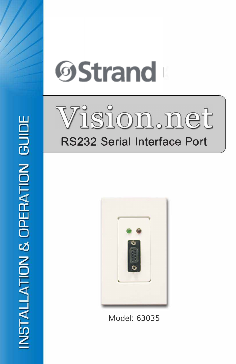





Model: 63035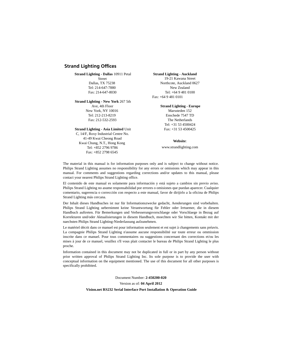## **Strand Lighting Offices**

### **Strand Lighting - Dallas** 10911 Petal

Street Dallas, TX 75238 Tel: 214-647-7880 Fax: 214-647-8030

#### **Strand Lighting - New York** 267 5th

Ave, 4th Floor New York, NY 10016 Tel: 212-213-8219 Fax: 212-532-2593

### **Strand Lighting - Asia Limited** Unit

C, 14/F, Roxy Industrial Centre No. 41-49 Kwai Cheong Road Kwai Chung, N.T., Hong Kong Tel: +852 2796 9786 Fax: +852 2798 6545

#### **Strand Lighting - Auckland**

19-21 Kawana Street Northcote, Auckland 0627 New Zealand Tel: +64 9 481 0100 Fax: +64 9 481 0101

### **Strand Lighting - Europe**

Marssteden 152 Enschede 7547 TD The Netherlands Tel: +31 53 4500424 Fax: +31 53 4500425

### **Website**:

www.strandlighting.com

The material in this manual is for information purposes only and is subject to change without notice. Philips Strand Lighting assumes no responsibility for any errors or omissions which may appear in this manual. For comments and suggestions regarding corrections and/or updates to this manual, please contact your nearest Philips Strand Lighting office.

El contenido de este manual es solamente para información y está sujeto a cambios sin previo aviso. Philips Strand Lighting no asume responsabilidad por errores o omisiones que puedan aparecer. Cualquier comentario, sugerencia o corrección con respecto a este manual, favor de dirijirlo a la oficina de Philips Strand Lighting más cercana.

Der Inhalt dieses Handbuches ist nur für Informationszwecke gedacht, Aenderungen sind vorbehalten. Philips Strand Lighting uebernimmt keine Verantwortung für Fehler oder Irrtuemer, die in diesem Handbuch auftreten. Für Bemerkungen und Verbesserungsvorschlaege oder Vorschlaege in Bezug auf Korrekturen und/oder Aktualisierungen in diesem Handbuch, moechten wir Sie bitten, Kontakt mit der naechsten Philips Strand Lighting-Niederlassung aufzunehmen.

Le matériel décrit dans ce manuel est pour information seulement et est sujet à changements sans préavis. La compagnie Philips Strand Lighting n'assume aucune responsibilité sur toute erreur ou ommission inscrite dans ce manuel. Pour tous commentaires ou suggestions concernant des corrections et/ou les mises à jour de ce manuel, veuillez s'll vous plait contacter le bureau de Philips Strand Lighting le plus proche.

Information contained in this document may not be duplicated in full or in part by any person without prior written approval of Philips Strand Lighting Inc. Its sole purpose is to provide the user with conceptual information on the equipment mentioned. The use of this document for all other purposes is specifically prohibited.

Document Number: **2-450200-020**

Version as of: **04 April 2012**

#### **Vision.net RS232 Serial Interface Port Installation & Operation Guide**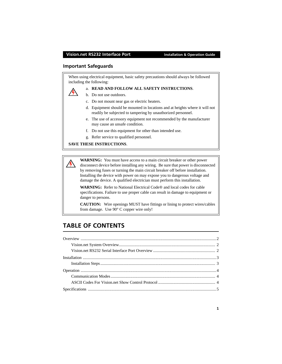## **Important Safeguards**

When using electrical equipment, basic safety precautions should always be followed including the following:



## a. **READ AND FOLLOW ALL SAFETY INSTRUCTIONS**.

- b. Do not use outdoors.
- c. Do not mount near gas or electric heaters.
- d. Equipment should be mounted in locations and at heights where it will not readily be subjected to tampering by unauthorized personnel.
- e. The use of accessory equipment not recommended by the manufacturer may cause an unsafe condition.
- f. Do not use this equipment for other than intended use.
- g. Refer service to qualified personnel.

### **SAVE THESE INSTRUCTIONS**.

**WARNING:** You must have access to a main circuit breaker or other power disconnect device before installing any wiring. Be sure that power is disconnected by removing fuses or turning the main circuit breaker off before installation. Installing the device with power on may expose you to dangerous voltage and damage the device. A qualified electrician must perform this installation.

**WARNING:** Refer to National Electrical Code® and local codes for cable specifications. Failure to use proper cable can result in damage to equipment or danger to persons.

**CAUTION:** Wire openings MUST have fittings or lining to protect wires/cables from damage. Use 90° C copper wire only!

# **TABLE OF CONTENTS**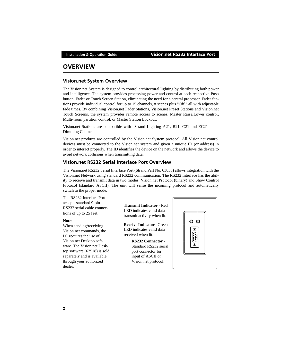# <span id="page-3-0"></span>**OVERVIEW**

## <span id="page-3-1"></span>**Vision.net System Overview**

The Vision.net System is designed to control architectural lighting by distributing both power and intelligence. The system provides processing power and control at each respective Push button, Fader or Touch Screen Station, eliminating the need for a central processor. Fader Stations provide individual control for up to 15 channels, 8 scenes plus "Off," all with adjustable fade times. By combining Vision.net Fader Stations, Vision.net Preset Stations and Vision.net Touch Screens, the system provides remote access to scenes, Master Raise/Lower control, Multi-room partition control, or Master Station Lockout.

Vision.net Stations are compatible with Strand Lighting A21, R21, C21 and EC21 Dimming Cabinets.

Vision.net products are controlled by the Vision.net System protocol. All Vision.net control devices must be connected to the Vision.net system and given a unique ID (or address) in order to interact properly. The ID identifies the device on the network and allows the device to avoid network collisions when transmitting data.

## <span id="page-3-2"></span>**Vision.net RS232 Serial Interface Port Overview**

The Vision.net RS232 Serial Interface Port (Strand Part No: 63035) allows integration with the Vision.net Network using standard RS232 communication. The RS232 Interface has the ability to receive and transmit data in two modes: Vision.net Protocol (binary) and Show Control Protocol (standard ASCII). The unit will sense the incoming protocol and automatically switch to the proper mode.

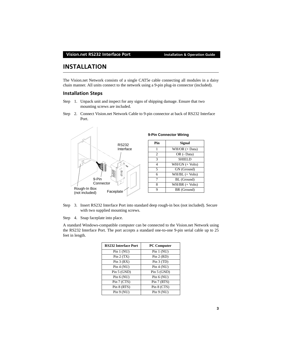# <span id="page-4-0"></span>**INSTALLATION**

The Vision.net Network consists of a single CAT5e cable connecting all modules in a daisy chain manner. All units connect to the network using a 9-pin plug-in connector (included).

## <span id="page-4-1"></span>**Installation Steps**

- Step 1. Unpack unit and inspect for any signs of shipping damage. Ensure that two mounting screws are included.
- Step 2. Connect Vision.net Network Cable to 9-pin connector at back of RS232 Interface Port.



| Pin            | Signal            |
|----------------|-------------------|
| 1              | $WH/OR (+ Data)$  |
| $\overline{c}$ | OR (- Data)       |
| 3              | <b>SHIELD</b>     |
| 4              | $WH/GN (+ Volts)$ |
| $\overline{5}$ | GN (Ground)       |
| 6              | $WH/BL$ (+ Volts) |
| 7              | BL (Ground)       |
| 8              | $WH/BR$ (+ Volts) |
| Q              | BR (Ground)       |

Step 3. Insert RS232 Interface Port into standard deep rough-in box (not included). Secure with two supplied mounting screws.

Step 4. Snap faceplate into place.

A standard Windows-compatible computer can be connected to the Vision.net Network using the RS232 Interface Port. The port accepts a standard one-to-one 9-pin serial cable up to 25 feet in length.

| <b>RS232 Interface Port</b> | <b>PC Computer</b> |
|-----------------------------|--------------------|
| Pin $1(NU)$                 | Pin $1(NU)$        |
| Pin $2(TX)$                 | Pin 2 (RD)         |
| Pin $3(RX)$                 | Pin $3(TD)$        |
| Pin 4 (NU)                  | Pin 4 (NU)         |
| Pin $5$ (GND)               | Pin $5$ (GND)      |
| Pin $6(NU)$                 | Pin $6(NU)$        |
| Pin 7 (CTS)                 | Pin 7 (RTS)        |
| Pin 8 (RTS)                 | Pin 8 (CTS)        |
| Pin 9 (NU)                  | Pin 9 (NU)         |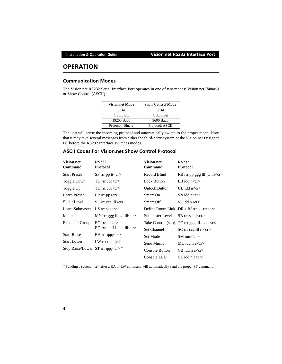# <span id="page-5-0"></span>**OPERATION**

# <span id="page-5-1"></span>**Communication Modes**

The Vision.net RS232 Serial Interface Port operates in one of two modes: Vision.net (binary) or Show Control (ASCII).

| <b>Vision.net Mode</b> | <b>Show Control Mode</b> |  |
|------------------------|--------------------------|--|
| 8 Bit                  | 8 Bit                    |  |
| 1 Stop Bit             | 1 Stop Bit               |  |
| 19200 Baud             | 9600 Baud                |  |
| Protocol: Binary       | Protocol: ASCII          |  |

The unit will sense the incoming protocol and automatically switch to the proper mode. Note that it may take several messages from either the third-party system or the Vision.net Designer PC before the RS232 Interface switches modes.

# <span id="page-5-2"></span>**ASCII Codes For Vision.net Show Control Protocol**

| <b>Vision.net</b><br><b>Command</b>    | <b>RS232</b><br><b>Protocol</b>    | <b>Vision.net</b><br><b>Command</b> | <b>RS232</b><br><b>Protocol</b>                  |
|----------------------------------------|------------------------------------|-------------------------------------|--------------------------------------------------|
| <b>Start Preset</b>                    | $SP$ rrr pp tt $<$ cr $>$          | Record Blind                        | RB rrr pp ggg lll  lll <cr></cr>                 |
| Toggle Down                            | TD $rrr$ ccc $\langle cr \rangle$  | Lock Button                         | LB idd $n < c r >$                               |
| Toggle Up                              | $TU$ rrr $cccc < c$                | <b>Unlock Button</b>                | UB idd $n < c r >$                               |
| Learn Preset                           | LP $rrr$ pp $\langle cr \rangle$   | Smart On                            | SN idd $n < c$ r $>$                             |
| Slider Level                           | $SL$ rrr ccc $ll <$ r>             | Smart Off                           | $SF$ idd n <cr></cr>                             |
| Learn Submaster                        | LS $rrr$ ss $\langle cr \rangle$   |                                     | Define Room Link DR x fff $rr$ $rr < c$ r        |
| Manual                                 | MN $rrr$ ggg $III \dots III < cr$  | Submaster Level                     | $SB$ rrr ss lll $\langle cr \rangle$             |
| <b>Expander Group</b>                  | $EG$ rrr ee $\ll$ cr $>$           |                                     | Take Control (sub) TC rrr ggg III  III <cr></cr> |
|                                        | EG rrr ee ff $III \dots III < c$ r | Set Channel                         | $SC$ rrr ccc III rr <cr></cr>                    |
| <b>Start Raise</b>                     | RA rrr qqq $\langle cr \rangle$    | Set Mode                            | SM mm <cr></cr>                                  |
| <b>Start Lower</b>                     | LW rrr $qqq < cr$                  | Send Mimic                          | MC idd n $a < c r >$                             |
| Stop Raise/Lower ST rrr qqq <cr>*</cr> |                                    | <b>Console Button</b>               | $CB$ idd n a $<r>$                               |
|                                        |                                    | Console LED                         | CL idd n a $<$                                   |

\* Sending a second <cr> after a RA or LW command will automatically send the proper ST command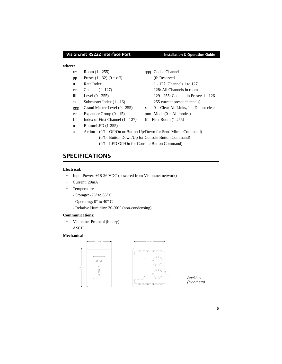## **Vision.net RS232 Interface Port Installation & Operation Guide**

### **where:**

- rrr Room (1 255) qqq Coded Channel
- pp Preset  $(1 32)$   $[0 = off]$  (0: Reserved
- 
- 
- 
- 
- 
- ee Expander Group  $(0 15)$  mm Mode  $(0 = All$  modes)
- ff Index of First Channel  $(1 127)$  fff First Room  $(1-255)$
- n Button/LED (1-255)
- tt Rate Index 1 127: Channels 1 to 127 ccc Channel ( 1-127) 128: All Channels in room lll Level (0 - 255) 129 - 255: Channel in Preset: 1 - 126 ss Submaster Index (1 - 16) 255 current preset channels) ggg Grand Master Level  $(0 - 255)$  x  $0 =$  Clear All Links,  $1 =$  Do not clear
- a Action (0/1= Off/On or Button Up/Down for Send Mimic Command) (0/1= Button Down/Up for Console Button Command) (0/1= LED Off/On for Console Button Command)

# **SPECIFICATIONS**

## **Electrical:**

- Input Power:  $+18-26$  VDC (powered from Vision.net network)
- Current: 20mA
- Temperature
	- Storage: -25° to 85° C
	- Operating: 0° to 40° C
	- Relative Humidity: 30-90% (non-condensing)

### **Communications:**

- Vision.net Protocol (binary)
- ASCII

## **Mechanical:**